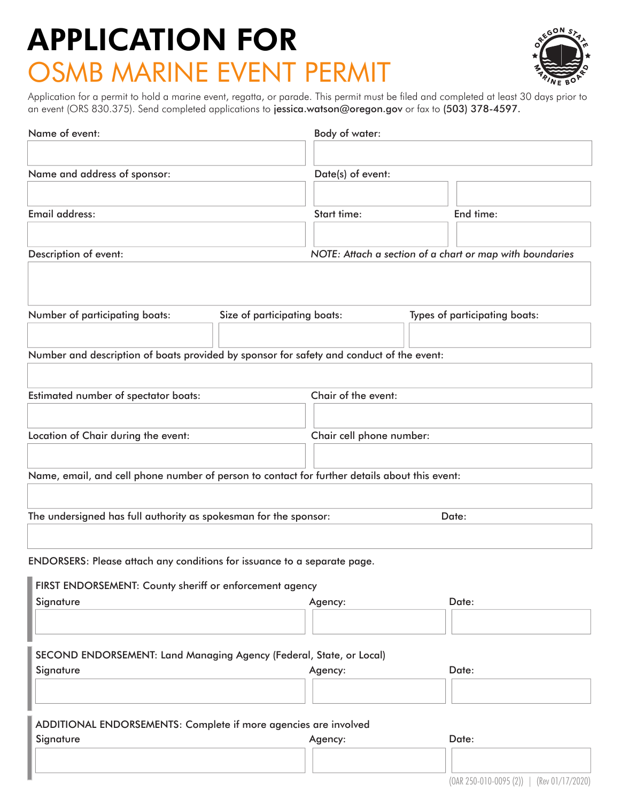#### OSMB MARINE EVENT PERMIT APPLICATION FOR



Application for a permit to hold a marine event, regatta, or parade. This permit must be filed and completed at least 30 days prior to an event (ORS 830.375). Send completed applications to jessica.watson@oregon.gov or fax to (503) 378-4597.

| Name of event:                                                                                |       | Body of water:                                           |  |                                           |
|-----------------------------------------------------------------------------------------------|-------|----------------------------------------------------------|--|-------------------------------------------|
|                                                                                               |       |                                                          |  |                                           |
| Name and address of sponsor:                                                                  |       | Date(s) of event:                                        |  |                                           |
|                                                                                               |       |                                                          |  |                                           |
| Email address:                                                                                |       | Start time:                                              |  | End time:                                 |
|                                                                                               |       |                                                          |  |                                           |
| Description of event:                                                                         |       | NOTE: Attach a section of a chart or map with boundaries |  |                                           |
|                                                                                               |       |                                                          |  |                                           |
|                                                                                               |       |                                                          |  |                                           |
| Number of participating boats:<br>Size of participating boats:                                |       | Types of participating boats:                            |  |                                           |
|                                                                                               |       |                                                          |  |                                           |
| Number and description of boats provided by sponsor for safety and conduct of the event:      |       |                                                          |  |                                           |
|                                                                                               |       |                                                          |  |                                           |
| Estimated number of spectator boats:                                                          |       | Chair of the event:                                      |  |                                           |
|                                                                                               |       |                                                          |  |                                           |
| Location of Chair during the event:                                                           |       | Chair cell phone number:                                 |  |                                           |
|                                                                                               |       |                                                          |  |                                           |
| Name, email, and cell phone number of person to contact for further details about this event: |       |                                                          |  |                                           |
|                                                                                               |       |                                                          |  |                                           |
| The undersigned has full authority as spokesman for the sponsor:                              | Date: |                                                          |  |                                           |
|                                                                                               |       |                                                          |  |                                           |
| ENDORSERS: Please attach any conditions for issuance to a separate page.                      |       |                                                          |  |                                           |
|                                                                                               |       |                                                          |  |                                           |
| FIRST ENDORSEMENT: County sheriff or enforcement agency                                       |       |                                                          |  |                                           |
| Signature                                                                                     |       | Agency:                                                  |  | Date:                                     |
|                                                                                               |       |                                                          |  |                                           |
| SECOND ENDORSEMENT: Land Managing Agency (Federal, State, or Local)                           |       |                                                          |  |                                           |
| Signature                                                                                     |       | Agency:                                                  |  | Date:                                     |
|                                                                                               |       |                                                          |  |                                           |
|                                                                                               |       |                                                          |  |                                           |
| ADDITIONAL ENDORSEMENTS: Complete if more agencies are involved                               |       |                                                          |  |                                           |
| Signature                                                                                     |       | Agency:                                                  |  | Date:                                     |
|                                                                                               |       |                                                          |  |                                           |
|                                                                                               |       |                                                          |  | $(OAR 250-010-0095 (2))$ (Rev 01/17/2020) |